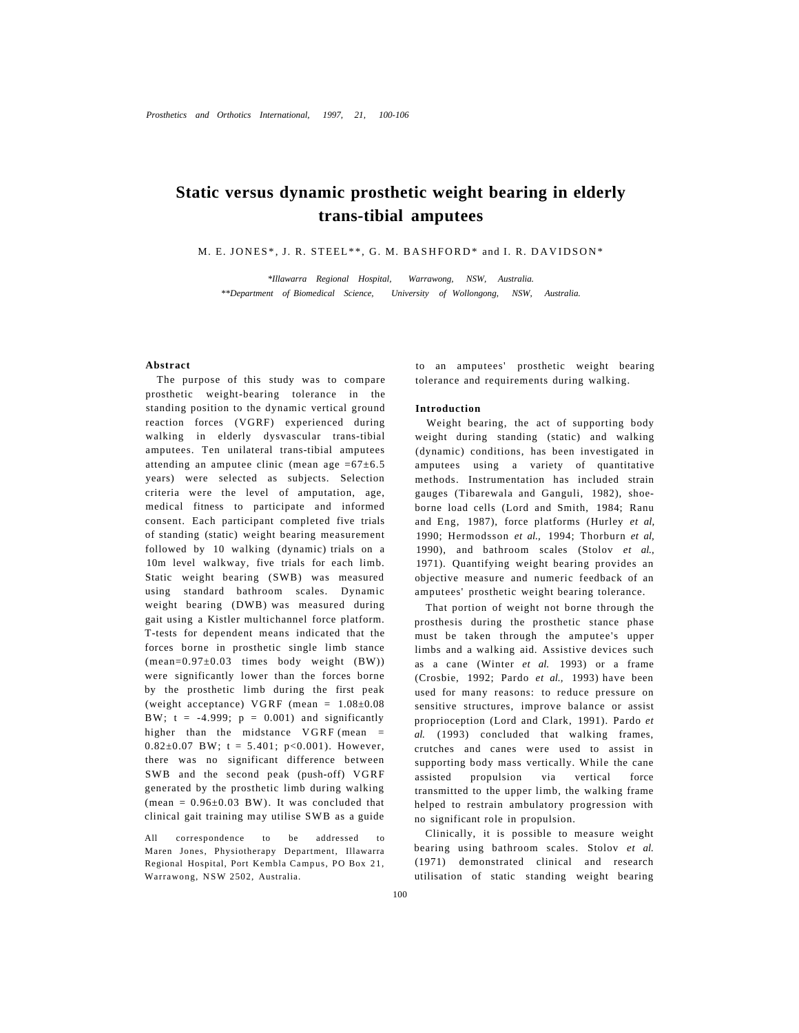# **Static versus dynamic prosthetic weight bearing in elderly trans-tibial amputees**

M. E. JONES\*, J. R. STEEL\*\*, G. M. BASHFORD\* and I. R. DAVIDSON\*

*\*Illawarra Regional Hospital, Warrawong, NSW, Australia. \*\*Department of Biomedical Science, University of Wollongong, NSW, Australia.* 

# **Abstract**

The purpose of this study was to compare prosthetic weight-bearing tolerance in the standing position to the dynamic vertical ground reaction forces (VGRF) experienced during walking in elderly dysvascular trans-tibial amputees. Ten unilateral trans-tibial amputees attending an amputee clinic (mean age  $=67\pm6.5$ years) were selected as subjects. Selection criteria were the level of amputation, age, medical fitness to participate and informed consent. Each participant completed five trials of standing (static) weight bearing measurement followed by 10 walking (dynamic) trials on a 10m level walkway, five trials for each limb. Static weight bearing (SWB) was measured using standard bathroom scales. Dynamic weight bearing (DWB) was measured during gait using a Kistler multichannel force platform. T-tests for dependent means indicated that the forces borne in prosthetic single limb stance  $(mean=0.97\pm0.03$  times body weight  $(BW)$ ) were significantly lower than the forces borne by the prosthetic limb during the first peak (weight acceptance) VGRF (mean =  $1.08 \pm 0.08$ BW;  $t = -4.999$ ;  $p = 0.001$ ) and significantly higher than the midstance VGRF (mean =  $0.82 \pm 0.07$  BW; t = 5.401; p<0.001). However, there was no significant difference between SWB and the second peak (push-off) VGRF generated by the prosthetic limb during walking (mean =  $0.96\pm0.03$  BW). It was concluded that clinical gait training may utilise SWB as a guide

All correspondence to be addressed to Maren Jones, Physiotherapy Department, Illawarra Regional Hospital, Port Kembla Campus, PO Box 21, Warrawong, NSW 2502, Australia.

to an amputees' prosthetic weight bearing tolerance and requirements during walking.

#### **Introduction**

Weight bearing, the act of supporting body weight during standing (static) and walking (dynamic) conditions, has been investigated in amputees using a variety of quantitative methods. Instrumentation has included strain gauges (Tibarewala and Ganguli, 1982), shoeborne load cells (Lord and Smith, 1984; Ranu and Eng, 1987), force platforms (Hurley *et al,*  1990; Hermodsson *et al.,* 1994; Thorburn *et al,*  1990), and bathroom scales (Stolov *et al.,*  1971). Quantifying weight bearing provides an objective measure and numeric feedback of an amputees' prosthetic weight bearing tolerance.

That portion of weight not borne through the prosthesis during the prosthetic stance phase must be taken through the amputee's upper limbs and a walking aid. Assistive devices such as a cane (Winter *et al.* 1993) or a frame (Crosbie, 1992; Pardo *et al.,* 1993) have been used for many reasons: to reduce pressure on sensitive structures, improve balance or assist proprioception (Lord and Clark, 1991). Pardo *et al.* (1993) concluded that walking frames, crutches and canes were used to assist in supporting body mass vertically. While the cane assisted propulsion via vertical force transmitted to the upper limb, the walking frame helped to restrain ambulatory progression with no significant role in propulsion.

Clinically, it is possible to measure weight bearing using bathroom scales. Stolov *et al.*  (1971) demonstrated clinical and research utilisation of static standing weight bearing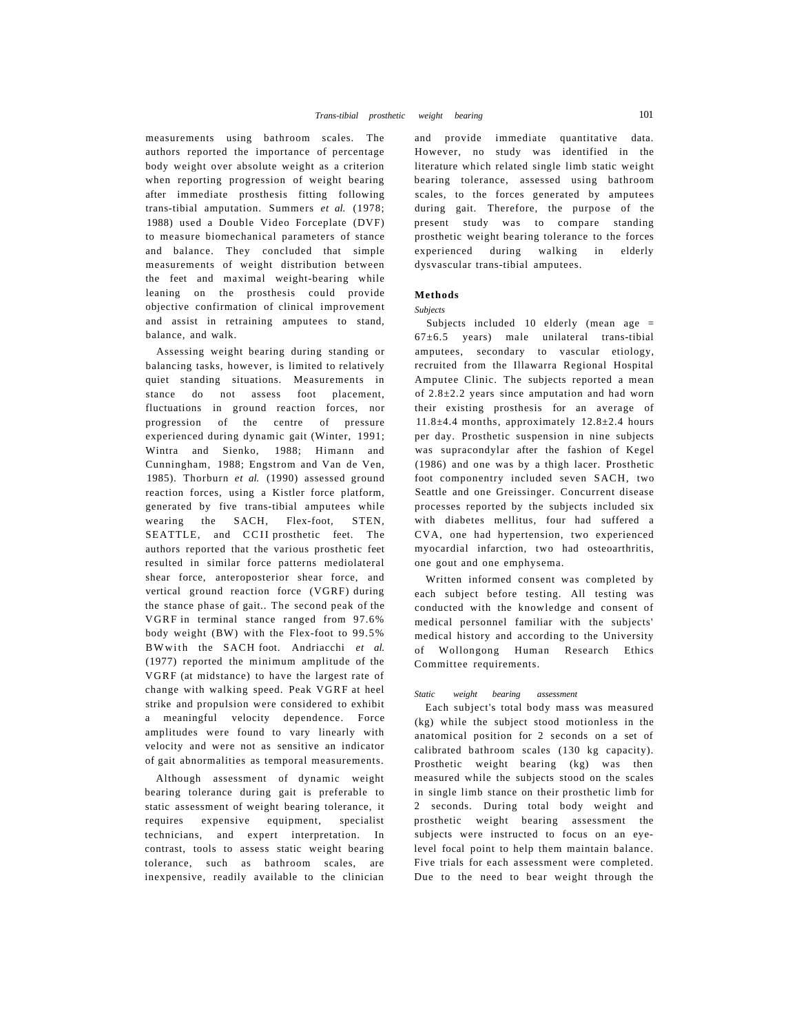measurements using bathroom scales. The authors reported the importance of percentage body weight over absolute weight as a criterion when reporting progression of weight bearing after immediate prosthesis fitting following trans-tibial amputation. Summers *et al.* (1978; 1988) used a Double Video Forceplate (DVF) to measure biomechanical parameters of stance and balance. They concluded that simple measurements of weight distribution between the feet and maximal weight-bearing while leaning on the prosthesis could provide objective confirmation of clinical improvement and assist in retraining amputees to stand, balance, and walk.

Assessing weight bearing during standing or balancing tasks, however, is limited to relatively quiet standing situations. Measurements in stance do not assess foot placement, fluctuations in ground reaction forces, nor progression of the centre of pressure experienced during dynamic gait (Winter, 1991; Wintra and Sienko, 1988; Himann and Cunningham, 1988; Engstrom and Van de Ven, 1985). Thorburn *et al.* (1990) assessed ground reaction forces, using a Kistler force platform, generated by five trans-tibial amputees while wearing the SACH, Flex-foot, STEN, SEATTLE, and CCII prosthetic feet. The authors reported that the various prosthetic feet resulted in similar force patterns mediolateral shear force, anteroposterior shear force, and vertical ground reaction force (VGRF) during the stance phase of gait.. The second peak of the VGRF in terminal stance ranged from 97.6% body weight (BW) with the Flex-foot to 99.5% BWwith the SACH foot. Andriacchi et al. (1977) reported the minimum amplitude of the VGRF (at midstance) to have the largest rate of change with walking speed. Peak VGRF at heel strike and propulsion were considered to exhibit a meaningful velocity dependence. Force amplitudes were found to vary linearly with velocity and were not as sensitive an indicator of gait abnormalities as temporal measurements.

Although assessment of dynamic weight bearing tolerance during gait is preferable to static assessment of weight bearing tolerance, it requires expensive equipment, specialist technicians, and expert interpretation. In contrast, tools to assess static weight bearing tolerance, such as bathroom scales, are inexpensive, readily available to the clinician

and provide immediate quantitative data. However, no study was identified in the literature which related single limb static weight bearing tolerance, assessed using bathroom scales, to the forces generated by amputees during gait. Therefore, the purpose of the present study was to compare standing prosthetic weight bearing tolerance to the forces experienced during walking in elderly dysvascular trans-tibial amputees.

## **Methods**

#### *Subjects*

Subjects included 10 elderly (mean age =  $67±6.5$  years) male unilateral trans-tibial amputees, secondary to vascular etiology, recruited from the Illawarra Regional Hospital Amputee Clinic. The subjects reported a mean of 2.8±2.2 years since amputation and had worn their existing prosthesis for an average of 11.8±4.4 months, approximately 12.8±2.4 hours per day. Prosthetic suspension in nine subjects was supracondylar after the fashion of Kegel (1986) and one was by a thigh lacer. Prosthetic foot componentry included seven SACH, two Seattle and one Greissinger. Concurrent disease processes reported by the subjects included six with diabetes mellitus, four had suffered a CVA, one had hypertension, two experienced myocardial infarction, two had osteoarthritis, one gout and one emphysema.

Written informed consent was completed by each subject before testing. All testing was conducted with the knowledge and consent of medical personnel familiar with the subjects' medical history and according to the University of Wollongong Human Research Ethics Committee requirements.

#### *Static weight bearing assessment*

Each subject's total body mass was measured (kg) while the subject stood motionless in the anatomical position for 2 seconds on a set of calibrated bathroom scales (130 kg capacity). Prosthetic weight bearing (kg) was then measured while the subjects stood on the scales in single limb stance on their prosthetic limb for 2 seconds. During total body weight and prosthetic weight bearing assessment the subjects were instructed to focus on an eyelevel focal point to help them maintain balance. Five trials for each assessment were completed. Due to the need to bear weight through the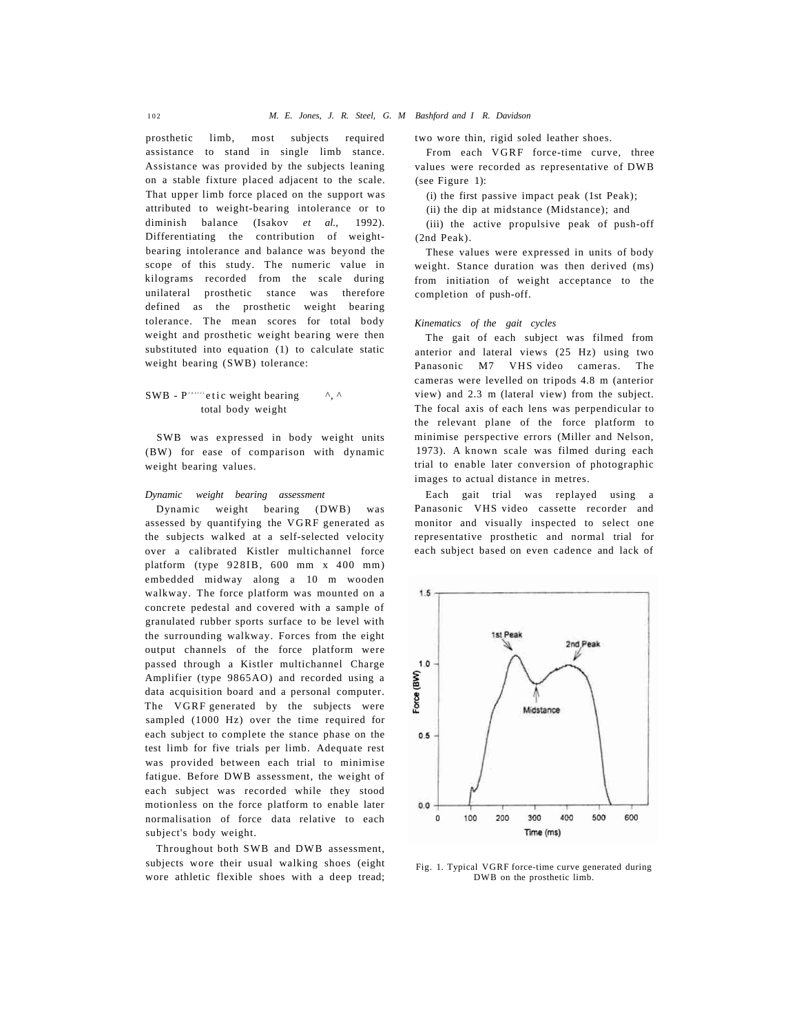prosthetic limb, most subjects required assistance to stand in single limb stance. Assistance was provided by the subjects leaning on a stable fixture placed adjacent to the scale. That upper limb force placed on the support was attributed to weight-bearing intolerance or to diminish balance (Isakov *et al.,* 1992). Differentiating the contribution of weightbearing intolerance and balance was beyond the scope of this study. The numeric value in kilograms recorded from the scale during unilateral prosthetic stance was therefore defined as the prosthetic weight bearing tolerance. The mean scores for total body weight and prosthetic weight bearing were then substituted into equation (1) to calculate static weight bearing (SWB) tolerance:

SWB -  $P^{r\text{-}s\text{-}rel}$  is weight bearing  $\wedge$ ,  $\wedge$ total body weight

SWB was expressed in body weight units (BW) for ease of comparison with dynamic weight bearing values.

*Dynamic weight bearing assessment* 

Dynamic weight bearing (DWB) was assessed by quantifying the VGRF generated as the subjects walked at a self-selected velocity over a calibrated Kistler multichannel force platform (type 928IB, 600 mm x 400 mm) embedded midway along a 10 m wooden walkway. The force platform was mounted on a concrete pedestal and covered with a sample of granulated rubber sports surface to be level with the surrounding walkway. Forces from the eight output channels of the force platform were passed through a Kistler multichannel Charge Amplifier (type 9865AO) and recorded using a data acquisition board and a personal computer. The VGRF generated by the subjects were sampled (1000 Hz) over the time required for each subject to complete the stance phase on the test limb for five trials per limb. Adequate rest was provided between each trial to minimise fatigue. Before DWB assessment, the weight of each subject was recorded while they stood motionless on the force platform to enable later normalisation of force data relative to each subject's body weight.

Throughout both SWB and DWB assessment, subjects wore their usual walking shoes (eight wore athletic flexible shoes with a deep tread; two wore thin, rigid soled leather shoes.

From each VGRF force-time curve, three values were recorded as representative of DWB (see Figure 1):

(i) the first passive impact peak (1st Peak);

(ii) the dip at midstance (Midstance); and

(iii) the active propulsive peak of push-off (2nd Peak).

These values were expressed in units of body weight. Stance duration was then derived (ms) from initiation of weight acceptance to the completion of push-off.

*Kinematics of the gait cycles* 

The gait of each subject was filmed from anterior and lateral views (25 Hz) using two Panasonic M7 VHS video cameras. The cameras were levelled on tripods 4.8 m (anterior view) and 2.3 m (lateral view) from the subject. The focal axis of each lens was perpendicular to the relevant plane of the force platform to minimise perspective errors (Miller and Nelson, 1973). A known scale was filmed during each trial to enable later conversion of photographic images to actual distance in metres.

Each gait trial was replayed using a Panasonic VHS video cassette recorder and monitor and visually inspected to select one representative prosthetic and normal trial for each subject based on even cadence and lack of



Fig. 1. Typical VGRF force-time curve generated during DWB on the prosthetic limb.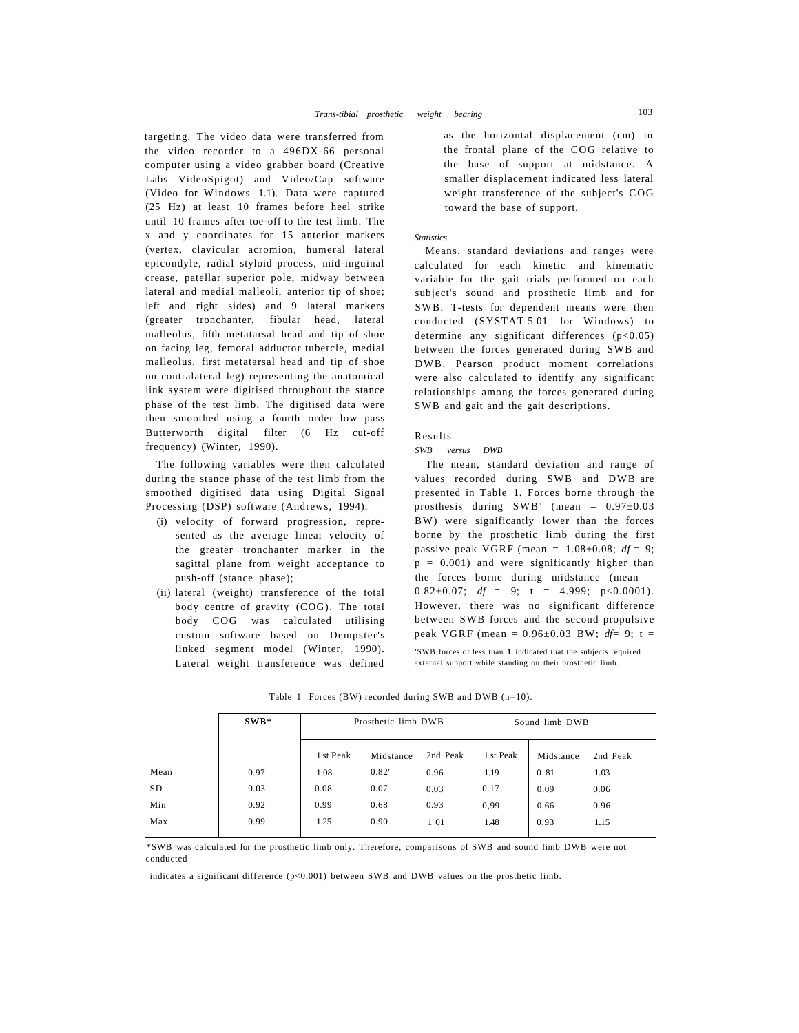targeting. The video data were transferred from the video recorder to a 496DX-66 personal computer using a video grabber board (Creative Labs VideoSpigot) and Video/Cap software (Video for Windows 1.1). Data were captured (25 Hz) at least 10 frames before heel strike until 10 frames after toe-off to the test limb. The x and y coordinates for 15 anterior markers (vertex, clavicular acromion, humeral lateral epicondyle, radial styloid process, mid-inguinal crease, patellar superior pole, midway between lateral and medial malleoli, anterior tip of shoe; left and right sides) and 9 lateral markers (greater tronchanter, fibular head, lateral malleolus, fifth metatarsal head and tip of shoe on facing leg, femoral adductor tubercle, medial malleolus, first metatarsal head and tip of shoe on contralateral leg) representing the anatomical link system were digitised throughout the stance phase of the test limb. The digitised data were then smoothed using a fourth order low pass Butterworth digital filter (6 Hz cut-off frequency) (Winter, 1990).

The following variables were then calculated during the stance phase of the test limb from the smoothed digitised data using Digital Signal Processing (DSP) software (Andrews, 1994):

- (i) velocity of forward progression, represented as the average linear velocity of the greater tronchanter marker in the sagittal plane from weight acceptance to push-off (stance phase);
- (ii) lateral (weight) transference of the total body centre of gravity (COG). The total body COG was calculated utilising custom software based on Dempster's linked segment model (Winter, 1990). Lateral weight transference was defined

as the horizontal displacement (cm) in the frontal plane of the COG relative to the base of support at midstance. A smaller displacement indicated less lateral weight transference of the subject's COG toward the base of support.

#### *Statistics*

Means, standard deviations and ranges were calculated for each kinetic and kinematic variable for the gait trials performed on each subject's sound and prosthetic limb and for SWB. T-tests for dependent means were then conducted (SYSTAT 5.01 for Windows) to determine any significant differences (p<0.05) between the forces generated during SWB and DWB. Pearson product moment correlations were also calculated to identify any significant relationships among the forces generated during SWB and gait and the gait descriptions.

## Results

# *SWB versus DWB*

The mean, standard deviation and range of values recorded during SWB and DWB are presented in Table 1. Forces borne through the prosthesis during  $SWB'$  (mean =  $0.97 \pm 0.03$ ) BW) were significantly lower than the forces borne by the prosthetic limb during the first passive peak VGRF (mean = 1.08±0.08; *df =* 9;  $p = 0.001$ ) and were significantly higher than the forces borne during midstance (mean = 0.82 $\pm$ 0.07; *df* = 9; t = 4.999; p<0.0001). However, there was no significant difference between SWB forces and the second propulsive peak VGRF (mean = 0.96±0.03 BW; *df=* 9; t = 'SWB forces of less than **1** indicated that the subjects required

external support while standing on their prosthetic limb.

|           | $SWB*$ | Prosthetic limb DWB |           |          | Sound limb DWB |           |          |
|-----------|--------|---------------------|-----------|----------|----------------|-----------|----------|
|           |        | 1 st Peak           | Midstance | 2nd Peak | 1 st Peak      | Midstance | 2nd Peak |
| Mean      | 0.97   | 1.08'               | 0.82'     | 0.96     | 1.19           | 0 81      | 1.03     |
| <b>SD</b> | 0.03   | 0.08                | 0.07      | 0.03     | 0.17           | 0.09      | 0.06     |
| Min       | 0.92   | 0.99                | 0.68      | 0.93     | 0.99           | 0.66      | 0.96     |
| Max       | 0.99   | 1.25                | 0.90      | 101      | 1,48           | 0.93      | 1.15     |

Table 1 Forces (BW) recorded during SWB and DWB (n=10).

\*SWB was calculated for the prosthetic limb only. Therefore, comparisons of SWB and sound limb DWB were not conducted

indicates a significant difference (p<0.001) between SWB and DWB values on the prosthetic limb.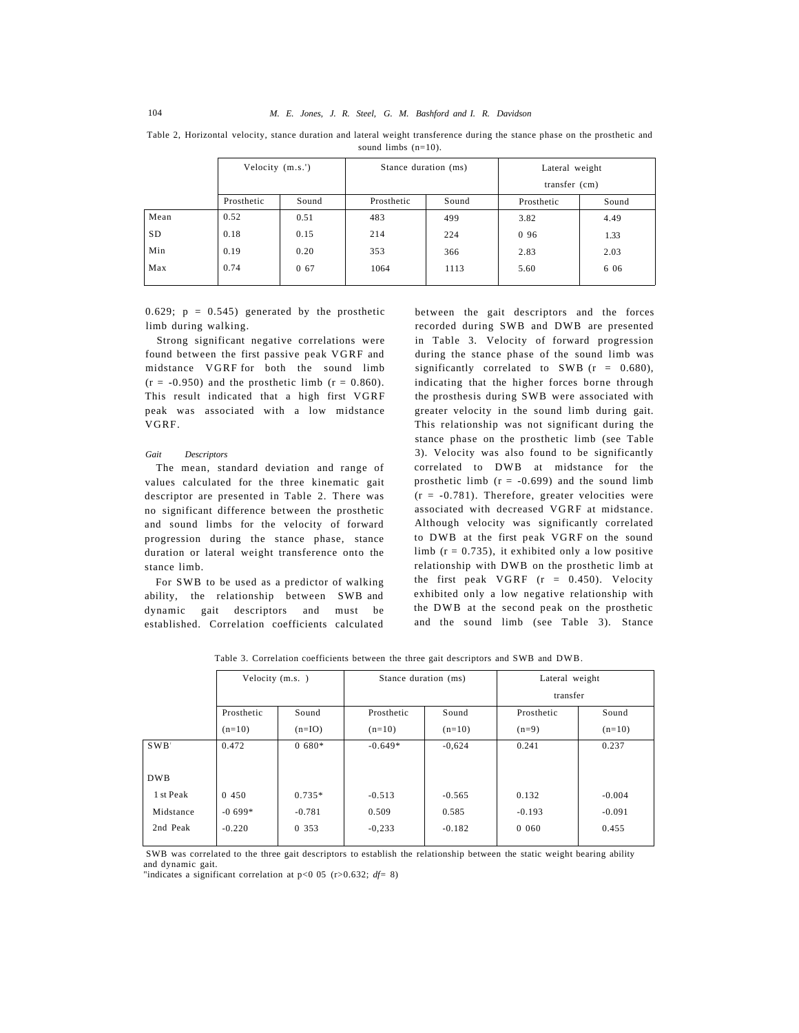Table 2, Horizontal velocity, stance duration and lateral weight transference during the stance phase on the prosthetic and sound limbs (n=10).

|           | Velocity (m.s.') |       | Stance duration (ms) |       | Lateral weight  |       |  |
|-----------|------------------|-------|----------------------|-------|-----------------|-------|--|
|           |                  |       |                      |       | transfer $(cm)$ |       |  |
|           | Prosthetic       | Sound | Prosthetic           | Sound | Prosthetic      | Sound |  |
| Mean      | 0.52             | 0.51  | 483                  | 499   | 3.82            | 4.49  |  |
| <b>SD</b> | 0.18             | 0.15  | 214                  | 224   | 0 9 6           | 1.33  |  |
| Min       | 0.19             | 0.20  | 353                  | 366   | 2.83            | 2.03  |  |
| Max       | 0.74             | 0 67  | 1064                 | 1113  | 5.60            | 6 0 6 |  |
|           |                  |       |                      |       |                 |       |  |

0.629;  $p = 0.545$ ) generated by the prosthetic limb during walking.

Strong significant negative correlations were found between the first passive peak VGRF and midstance VGRF for both the sound limb  $(r = -0.950)$  and the prosthetic limb  $(r = 0.860)$ . This result indicated that a high first VGRF peak was associated with a low midstance VGRF.

#### *Gait Descriptors*

The mean, standard deviation and range of values calculated for the three kinematic gait descriptor are presented in Table 2. There was no significant difference between the prosthetic and sound limbs for the velocity of forward progression during the stance phase, stance duration or lateral weight transference onto the stance limb.

For SWB to be used as a predictor of walking ability, the relationship between SWB and dynamic gait descriptors and must be established. Correlation coefficients calculated

between the gait descriptors and the forces recorded during SWB and DWB are presented in Table 3. Velocity of forward progression during the stance phase of the sound limb was significantly correlated to SWB  $(r = 0.680)$ , indicating that the higher forces borne through the prosthesis during SWB were associated with greater velocity in the sound limb during gait. This relationship was not significant during the stance phase on the prosthetic limb (see Table 3). Velocity was also found to be significantly correlated to DWB at midstance for the prosthetic limb  $(r = -0.699)$  and the sound limb  $(r = -0.781)$ . Therefore, greater velocities were associated with decreased VGRF at midstance. Although velocity was significantly correlated to DWB at the first peak VGRF on the sound limb  $(r = 0.735)$ , it exhibited only a low positive relationship with DWB on the prosthetic limb at the first peak VGRF (r = 0.450). Velocity exhibited only a low negative relationship with the DWB at the second peak on the prosthetic and the sound limb (see Table 3). Stance

|            | Velocity (m.s.) |          | Stance duration (ms) |          | Lateral weight |          |  |  |
|------------|-----------------|----------|----------------------|----------|----------------|----------|--|--|
|            |                 |          |                      |          | transfer       |          |  |  |
|            | Prosthetic      | Sound    | Prosthetic           | Sound    | Prosthetic     | Sound    |  |  |
|            | $(n=10)$        | $(n=IO)$ | $(n=10)$             | $(n=10)$ | $(n=9)$        | $(n=10)$ |  |  |
| SWB'       | 0.472           | $0.680*$ | $-0.649*$            | $-0,624$ | 0.241          | 0.237    |  |  |
|            |                 |          |                      |          |                |          |  |  |
| <b>DWB</b> |                 |          |                      |          |                |          |  |  |
| 1 st Peak  | 0 450           | $0.735*$ | $-0.513$             | $-0.565$ | 0.132          | $-0.004$ |  |  |
| Midstance  | $-0.699*$       | $-0.781$ | 0.509                | 0.585    | $-0.193$       | $-0.091$ |  |  |
| 2nd Peak   | $-0.220$        | 0 353    | $-0,233$             | $-0.182$ | 0.060          | 0.455    |  |  |
|            |                 |          |                      |          |                |          |  |  |

Table 3. Correlation coefficients between the three gait descriptors and SWB and DWB.

SWB was correlated to the three gait descriptors to establish the relationship between the static weight bearing ability and dynamic gait.

"indicates a significant correlation at p<0 05 (r>0.632; *df=* 8)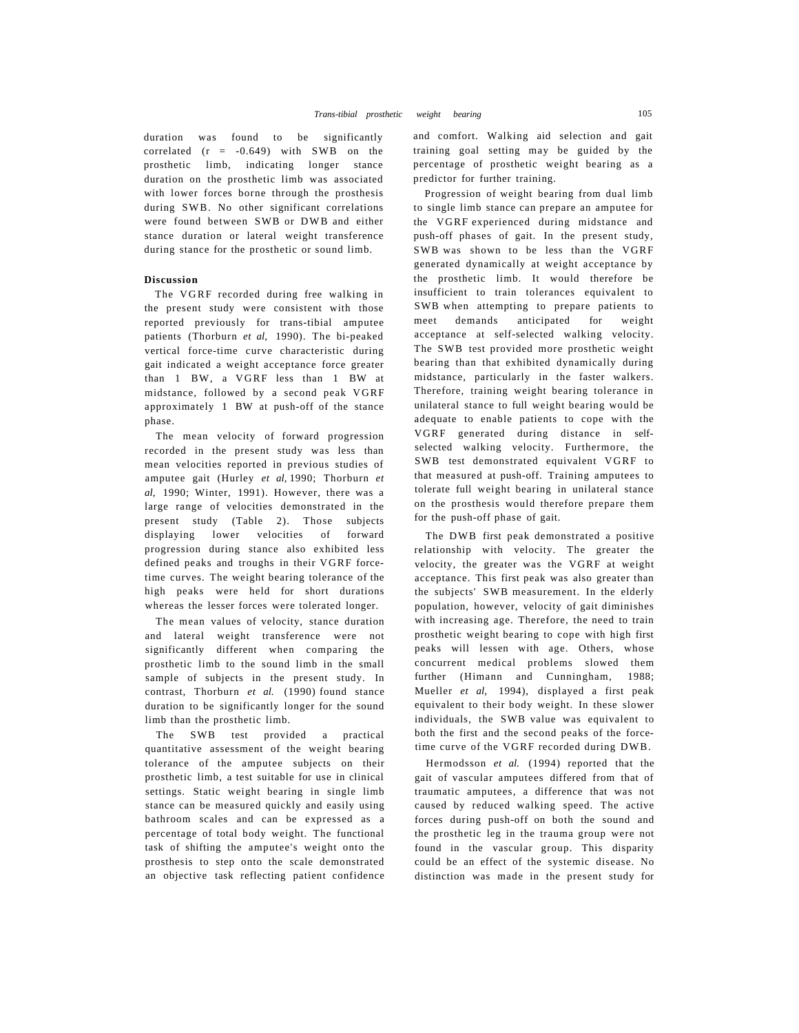duration was found to be significantly correlated (r = -0.649) with SWB on the prosthetic limb, indicating longer stance duration on the prosthetic limb was associated with lower forces borne through the prosthesis during SWB. No other significant correlations were found between SWB or DWB and either stance duration or lateral weight transference during stance for the prosthetic or sound limb.

# **Discussion**

The VGRF recorded during free walking in the present study were consistent with those reported previously for trans-tibial amputee patients (Thorburn *et al,* 1990). The bi-peaked vertical force-time curve characteristic during gait indicated a weight acceptance force greater than 1 BW, a VGRF less than 1 BW at midstance, followed by a second peak VGRF approximately 1 BW at push-off of the stance phase.

The mean velocity of forward progression recorded in the present study was less than mean velocities reported in previous studies of amputee gait (Hurley *et al,* 1990; Thorburn *et al,* 1990; Winter, 1991). However, there was a large range of velocities demonstrated in the present study (Table 2). Those subjects displaying lower velocities of forward progression during stance also exhibited less defined peaks and troughs in their VGRF forcetime curves. The weight bearing tolerance of the high peaks were held for short durations whereas the lesser forces were tolerated longer.

The mean values of velocity, stance duration and lateral weight transference were not significantly different when comparing the prosthetic limb to the sound limb in the small sample of subjects in the present study. In contrast, Thorburn *et al.* (1990) found stance duration to be significantly longer for the sound limb than the prosthetic limb.

The SWB test provided a practical quantitative assessment of the weight bearing tolerance of the amputee subjects on their prosthetic limb, a test suitable for use in clinical settings. Static weight bearing in single limb stance can be measured quickly and easily using bathroom scales and can be expressed as a percentage of total body weight. The functional task of shifting the amputee's weight onto the prosthesis to step onto the scale demonstrated an objective task reflecting patient confidence and comfort. Walking aid selection and gait training goal setting may be guided by the percentage of prosthetic weight bearing as a predictor for further training.

Progression of weight bearing from dual limb to single limb stance can prepare an amputee for the VGRF experienced during midstance and push-off phases of gait. In the present study, SWB was shown to be less than the VGRF generated dynamically at weight acceptance by the prosthetic limb. It would therefore be insufficient to train tolerances equivalent to SWB when attempting to prepare patients to meet demands anticipated for weight acceptance at self-selected walking velocity. The SWB test provided more prosthetic weight bearing than that exhibited dynamically during midstance, particularly in the faster walkers. Therefore, training weight bearing tolerance in unilateral stance to full weight bearing would be adequate to enable patients to cope with the VGRF generated during distance in selfselected walking velocity. Furthermore, the SWB test demonstrated equivalent VGRF to that measured at push-off. Training amputees to tolerate full weight bearing in unilateral stance on the prosthesis would therefore prepare them for the push-off phase of gait.

The DWB first peak demonstrated a positive relationship with velocity. The greater the velocity, the greater was the VGRF at weight acceptance. This first peak was also greater than the subjects' SWB measurement. In the elderly population, however, velocity of gait diminishes with increasing age. Therefore, the need to train prosthetic weight bearing to cope with high first peaks will lessen with age. Others, whose concurrent medical problems slowed them further (Himann and Cunningham, 1988; Mueller *et al,* 1994), displayed a first peak equivalent to their body weight. In these slower individuals, the SWB value was equivalent to both the first and the second peaks of the forcetime curve of the VGRF recorded during DWB.

Hermodsson *et al.* (1994) reported that the gait of vascular amputees differed from that of traumatic amputees, a difference that was not caused by reduced walking speed. The active forces during push-off on both the sound and the prosthetic leg in the trauma group were not found in the vascular group. This disparity could be an effect of the systemic disease. No distinction was made in the present study for